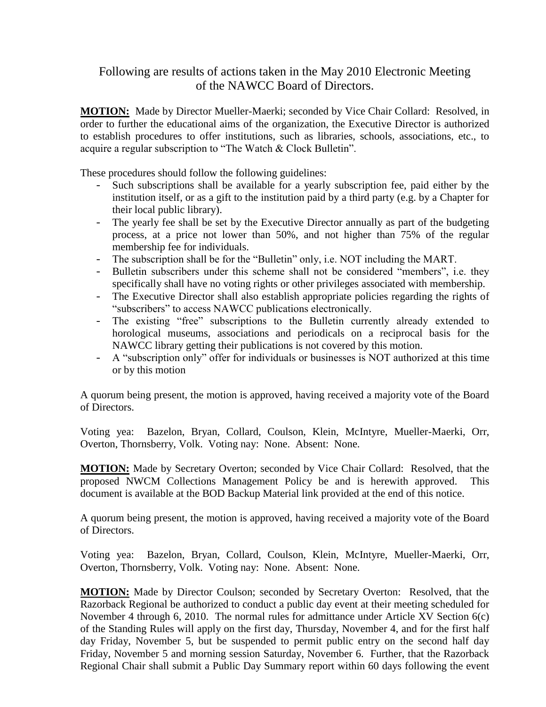## Following are results of actions taken in the May 2010 Electronic Meeting of the NAWCC Board of Directors.

**MOTION:** Made by Director Mueller-Maerki; seconded by Vice Chair Collard: Resolved, in order to further the educational aims of the organization, the Executive Director is authorized to establish procedures to offer institutions, such as libraries, schools, associations, etc., to acquire a regular subscription to "The Watch & Clock Bulletin".

These procedures should follow the following guidelines:

- Such subscriptions shall be available for a yearly subscription fee, paid either by the institution itself, or as a gift to the institution paid by a third party (e.g. by a Chapter for their local public library).
- The yearly fee shall be set by the Executive Director annually as part of the budgeting process, at a price not lower than 50%, and not higher than 75% of the regular membership fee for individuals.
- The subscription shall be for the "Bulletin" only, i.e. NOT including the MART.
- Bulletin subscribers under this scheme shall not be considered "members", i.e. they specifically shall have no voting rights or other privileges associated with membership.
- The Executive Director shall also establish appropriate policies regarding the rights of "subscribers" to access NAWCC publications electronically.
- The existing "free" subscriptions to the Bulletin currently already extended to horological museums, associations and periodicals on a reciprocal basis for the NAWCC library getting their publications is not covered by this motion.
- A "subscription only" offer for individuals or businesses is NOT authorized at this time or by this motion

A quorum being present, the motion is approved, having received a majority vote of the Board of Directors.

Voting yea: Bazelon, Bryan, Collard, Coulson, Klein, McIntyre, Mueller-Maerki, Orr, Overton, Thornsberry, Volk. Voting nay: None. Absent: None.

**MOTION:** Made by Secretary Overton; seconded by Vice Chair Collard: Resolved, that the proposed NWCM Collections Management Policy be and is herewith approved. This document is available at the BOD Backup Material link provided at the end of this notice.

A quorum being present, the motion is approved, having received a majority vote of the Board of Directors.

Voting yea: Bazelon, Bryan, Collard, Coulson, Klein, McIntyre, Mueller-Maerki, Orr, Overton, Thornsberry, Volk. Voting nay: None. Absent: None.

**MOTION:** Made by Director Coulson; seconded by Secretary Overton: Resolved, that the Razorback Regional be authorized to conduct a public day event at their meeting scheduled for November 4 through 6, 2010. The normal rules for admittance under Article XV Section 6(c) of the Standing Rules will apply on the first day, Thursday, November 4, and for the first half day Friday, November 5, but be suspended to permit public entry on the second half day Friday, November 5 and morning session Saturday, November 6. Further, that the Razorback Regional Chair shall submit a Public Day Summary report within 60 days following the event